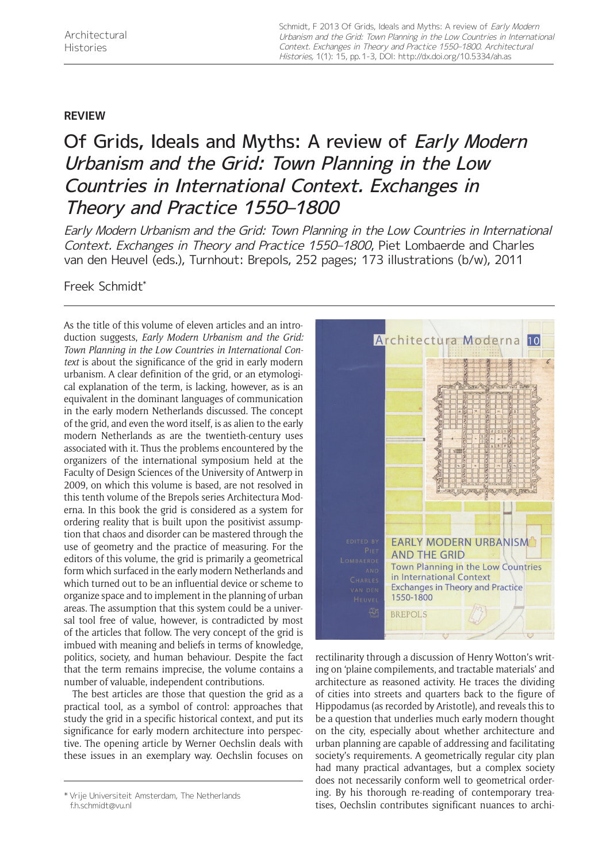## **REVIEW**

## Of Grids, Ideals and Myths: A review of *Early Modern* Urbanism and the Grid: Town Planning in the Low Countries in International Context. Exchanges in Theory and Practice 1550–1800

Early Modern Urbanism and the Grid: Town Planning in the Low Countries in International Context. Exchanges in Theory and Practice 1550–1800, Piet Lombaerde and Charles van den Heuvel (eds.), Turnhout: Brepols, 252 pages; 173 illustrations (b/w), 2011

Freek Schmidt\*

As the title of this volume of eleven articles and an introduction suggests, *Early Modern Urbanism and the Grid: Town Planning in the Low Countries in International Context* is about the significance of the grid in early modern urbanism. A clear definition of the grid, or an etymological explanation of the term, is lacking, however, as is an equivalent in the dominant languages of communication in the early modern Netherlands discussed. The concept of the grid, and even the word itself, is as alien to the early modern Netherlands as are the twentieth-century uses associated with it. Thus the problems encountered by the organizers of the international symposium held at the Faculty of Design Sciences of the University of Antwerp in 2009, on which this volume is based, are not resolved in this tenth volume of the Brepols series Architectura Moderna. In this book the grid is considered as a system for ordering reality that is built upon the positivist assumption that chaos and disorder can be mastered through the use of geometry and the practice of measuring. For the editors of this volume, the grid is primarily a geometrical form which surfaced in the early modern Netherlands and which turned out to be an influential device or scheme to organize space and to implement in the planning of urban areas. The assumption that this system could be a universal tool free of value, however, is contradicted by most of the articles that follow. The very concept of the grid is imbued with meaning and beliefs in terms of knowledge, politics, society, and human behaviour. Despite the fact that the term remains imprecise, the volume contains a number of valuable, independent contributions.

The best articles are those that question the grid as a practical tool, as a symbol of control: approaches that study the grid in a specific historical context, and put its significance for early modern architecture into perspective. The opening article by Werner Oechslin deals with these issues in an exemplary way. Oechslin focuses on



rectilinarity through a discussion of Henry Wotton's writing on 'plaine compilements, and tractable materials' and architecture as reasoned activity. He traces the dividing of cities into streets and quarters back to the figure of Hippodamus (as recorded by Aristotle), and reveals this to be a question that underlies much early modern thought on the city, especially about whether architecture and urban planning are capable of addressing and facilitating society's requirements. A geometrically regular city plan had many practical advantages, but a complex society does not necessarily conform well to geometrical ordering. By his thorough re-reading of contemporary treatige Universiteit Amsterdam, The Netherlands<br>tises, Oechslin contributes significant nuances to archi-<br>tises, Oechslin contributes significant nuances to archi-

[f.h.schmidt@vu.nl](mailto:f.h.schmidt@vu.nl)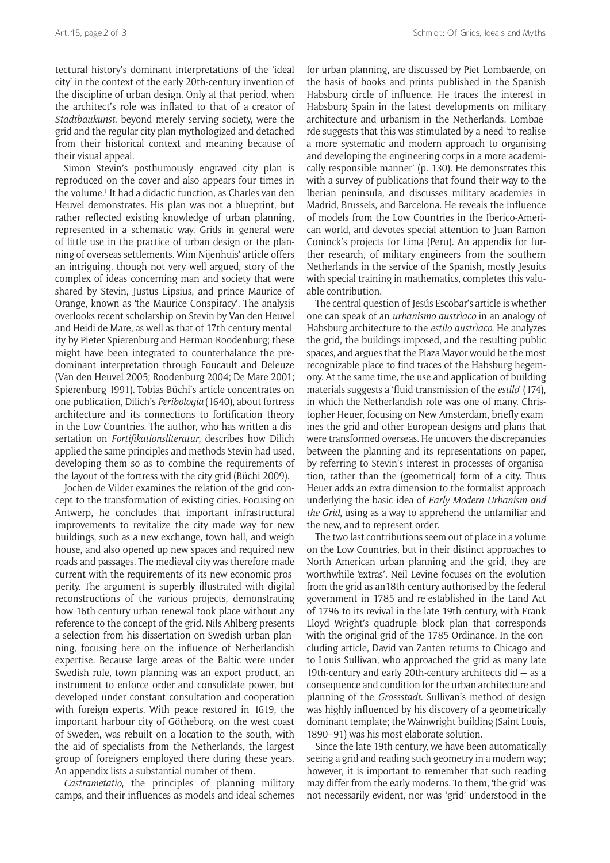tectural history's dominant interpretations of the 'ideal city' in the context of the early 20th-century invention of the discipline of urban design. Only at that period, when the architect's role was inflated to that of a creator of *Stadtbaukunst*, beyond merely serving society, were the grid and the regular city plan mythologized and detached from their historical context and meaning because of their visual appeal.

Simon Stevin's posthumously engraved city plan is reproduced on the cover and also appears four times in the volume.<sup>1</sup> It had a didactic function, as Charles van den Heuvel demonstrates. His plan was not a blueprint, but rather reflected existing knowledge of urban planning, represented in a schematic way. Grids in general were of little use in the practice of urban design or the planning of overseas settlements. Wim Nijenhuis' article offers an intriguing, though not very well argued, story of the complex of ideas concerning man and society that were shared by Stevin, Justus Lipsius, and prince Maurice of Orange, known as 'the Maurice Conspiracy'. The analysis overlooks recent scholarship on Stevin by Van den Heuvel and Heidi de Mare, as well as that of 17th-century mentality by Pieter Spierenburg and Herman Roodenburg; these might have been integrated to counterbalance the predominant interpretation through Foucault and Deleuze (Van den Heuvel 2005; Roodenburg 2004; De Mare 2001; Spierenburg 1991). Tobias Büchi's article concentrates on one publication, Dilich's *Peribologia* (1640), about fortress architecture and its connections to fortification theory in the Low Countries. The author, who has written a dissertation on *Fortifikationsliteratur*, describes how Dilich applied the same principles and methods Stevin had used, developing them so as to combine the requirements of the layout of the fortress with the city grid (Büchi 2009).

Jochen de Vilder examines the relation of the grid concept to the transformation of existing cities. Focusing on Antwerp, he concludes that important infrastructural improvements to revitalize the city made way for new buildings, such as a new exchange, town hall, and weigh house, and also opened up new spaces and required new roads and passages. The medieval city was therefore made current with the requirements of its new economic prosperity. The argument is superbly illustrated with digital reconstructions of the various projects, demonstrating how 16th-century urban renewal took place without any reference to the concept of the grid. Nils Ahlberg presents a selection from his dissertation on Swedish urban planning, focusing here on the influence of Netherlandish expertise. Because large areas of the Baltic were under Swedish rule, town planning was an export product, an instrument to enforce order and consolidate power, but developed under constant consultation and cooperation with foreign experts. With peace restored in 1619, the important harbour city of Götheborg, on the west coast of Sweden, was rebuilt on a location to the south, with the aid of specialists from the Netherlands, the largest group of foreigners employed there during these years. An appendix lists a substantial number of them.

*Castrametatio*, the principles of planning military camps, and their influences as models and ideal schemes for urban planning, are discussed by Piet Lombaerde, on the basis of books and prints published in the Spanish Habsburg circle of influence. He traces the interest in Habsburg Spain in the latest developments on military architecture and urbanism in the Netherlands. Lombaerde suggests that this was stimulated by a need 'to realise a more systematic and modern approach to organising and developing the engineering corps in a more academically responsible manner' (p. 130). He demonstrates this with a survey of publications that found their way to the Iberian peninsula, and discusses military academies in Madrid, Brussels, and Barcelona. He reveals the influence of models from the Low Countries in the Iberico-American world, and devotes special attention to Juan Ramon Coninck's projects for Lima (Peru). An appendix for further research, of military engineers from the southern Netherlands in the service of the Spanish, mostly Jesuits with special training in mathematics, completes this valuable contribution.

The central question of Jesús Escobar's article is whether one can speak of an *urbanismo austrìaco* in an analogy of Habsburg architecture to the *estilo austrìaco*. He analyzes the grid, the buildings imposed, and the resulting public spaces, and argues that the Plaza Mayor would be the most recognizable place to find traces of the Habsburg hegemony. At the same time, the use and application of building materials suggests a 'fluid transmission of the *estilo*' (174), in which the Netherlandish role was one of many. Christopher Heuer, focusing on New Amsterdam, briefly examines the grid and other European designs and plans that were transformed overseas. He uncovers the discrepancies between the planning and its representations on paper, by referring to Stevin's interest in processes of organisation, rather than the (geometrical) form of a city. Thus Heuer adds an extra dimension to the formalist approach underlying the basic idea of *Early Modern Urbanism and the Grid*, using as a way to apprehend the unfamiliar and the new, and to represent order.

The two last contributions seem out of place in a volume on the Low Countries, but in their distinct approaches to North American urban planning and the grid, they are worthwhile 'extras'. Neil Levine focuses on the evolution from the grid as an18th-century authorised by the federal government in 1785 and re-established in the Land Act of 1796 to its revival in the late 19th century, with Frank Lloyd Wright's quadruple block plan that corresponds with the original grid of the 1785 Ordinance. In the concluding article, David van Zanten returns to Chicago and to Louis Sullivan, who approached the grid as many late 19th-century and early 20th-century architects did — as a consequence and condition for the urban architecture and planning of the *Grossstadt*. Sullivan's method of design was highly influenced by his discovery of a geometrically dominant template; the Wainwright building (Saint Louis, 1890–91) was his most elaborate solution.

Since the late 19th century, we have been automatically seeing a grid and reading such geometry in a modern way; however, it is important to remember that such reading may differ from the early moderns. To them, 'the grid' was not necessarily evident, nor was 'grid' understood in the